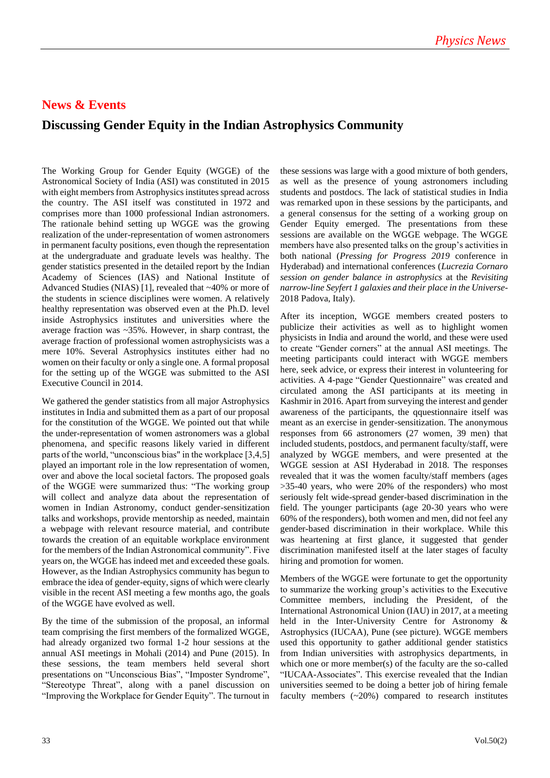## **News & Events**

## **Discussing Gender Equity in the Indian Astrophysics Community**

The Working Group for Gender Equity (WGGE) of the Astronomical Society of India (ASI) was constituted in 2015 with eight members from Astrophysics institutes spread across the country. The ASI itself was constituted in 1972 and comprises more than 1000 professional Indian astronomers. The rationale behind setting up WGGE was the growing realization of the under-representation of women astronomers in permanent faculty positions, even though the representation at the undergraduate and graduate levels was healthy. The gender statistics presented in the detailed report by the Indian Academy of Sciences (IAS) and National Institute of Advanced Studies (NIAS) [1], revealed that ~40% or more of the students in science disciplines were women. A relatively healthy representation was observed even at the Ph.D. level inside Astrophysics institutes and universities where the average fraction was ~35%. However, in sharp contrast, the average fraction of professional women astrophysicists was a mere 10%. Several Astrophysics institutes either had no women on their faculty or only a single one. A formal proposal for the setting up of the WGGE was submitted to the ASI Executive Council in 2014.

We gathered the gender statistics from all major Astrophysics institutes in India and submitted them as a part of our proposal for the constitution of the WGGE. We pointed out that while the under-representation of women astronomers was a global phenomena, and specific reasons likely varied in different parts of the world, "unconscious bias" in the workplace [3,4,5] played an important role in the low representation of women, over and above the local societal factors. The proposed goals of the WGGE were summarized thus: "The working group will collect and analyze data about the representation of women in Indian Astronomy, conduct gender-sensitization talks and workshops, provide mentorship as needed, maintain a webpage with relevant resource material, and contribute towards the creation of an equitable workplace environment for the members of the Indian Astronomical community". Five years on, the WGGE has indeed met and exceeded these goals. However, as the Indian Astrophysics community has begun to embrace the idea of gender-equity, signs of which were clearly visible in the recent ASI meeting a few months ago, the goals of the WGGE have evolved as well.

By the time of the submission of the proposal, an informal team comprising the first members of the formalized WGGE, had already organized two formal 1-2 hour sessions at the annual ASI meetings in Mohali (2014) and Pune (2015). In these sessions, the team members held several short presentations on "Unconscious Bias", "Imposter Syndrome", "Stereotype Threat", along with a panel discussion on "Improving the Workplace for Gender Equity". The turnout in

these sessions was large with a good mixture of both genders, as well as the presence of young astronomers including students and postdocs. The lack of statistical studies in India was remarked upon in these sessions by the participants, and a general consensus for the setting of a working group on Gender Equity emerged. The presentations from these sessions are available on the WGGE webpage. The WGGE members have also presented talks on the group's activities in both national (*Pressing for Progress 2019* conference in Hyderabad) and international conferences (*Lucrezia Cornaro session on gender balance in astrophysics* at the *Revisiting narrow-line Seyfert 1 galaxies and their place in the Universe-*2018 Padova, Italy).

After its inception, WGGE members created posters to publicize their activities as well as to highlight women physicists in India and around the world, and these were used to create "Gender corners" at the annual ASI meetings. The meeting participants could interact with WGGE members here, seek advice, or express their interest in volunteering for activities. A 4-page "Gender Questionnaire" was created and circulated among the ASI participants at its meeting in Kashmir in 2016. Apart from surveying the interest and gender awareness of the participants, the qquestionnaire itself was meant as an exercise in gender-sensitization. The anonymous responses from 66 astronomers (27 women, 39 men) that included students, postdocs, and permanent faculty/staff, were analyzed by WGGE members, and were presented at the WGGE session at ASI Hyderabad in 2018. The responses revealed that it was the women faculty/staff members (ages >35-40 years, who were 20% of the responders) who most seriously felt wide-spread gender-based discrimination in the field. The younger participants (age 20-30 years who were 60% of the responders), both women and men, did not feel any gender-based discrimination in their workplace. While this was heartening at first glance, it suggested that gender discrimination manifested itself at the later stages of faculty hiring and promotion for women.

Members of the WGGE were fortunate to get the opportunity to summarize the working group's activities to the Executive Committee members, including the President, of the International Astronomical Union (IAU) in 2017, at a meeting held in the Inter-University Centre for Astronomy & Astrophysics (IUCAA), Pune (see picture). WGGE members used this opportunity to gather additional gender statistics from Indian universities with astrophysics departments, in which one or more member(s) of the faculty are the so-called "IUCAA-Associates". This exercise revealed that the Indian universities seemed to be doing a better job of hiring female faculty members  $(\sim 20\%)$  compared to research institutes